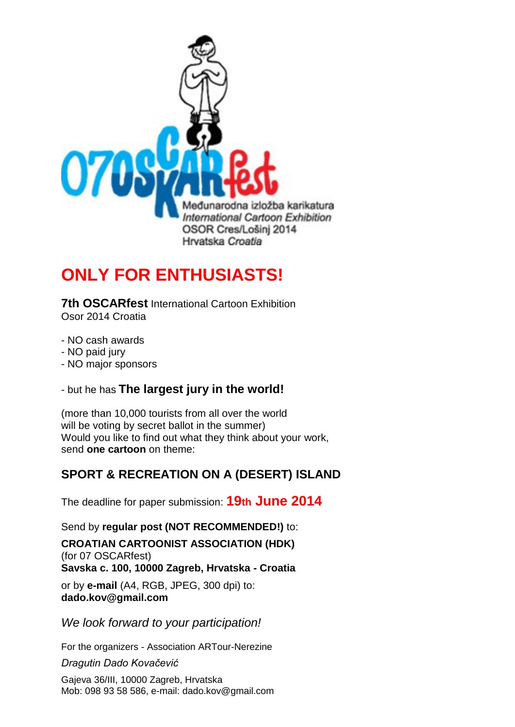

# **ONLY FOR ENTHUSIASTS!**

**7th OSCARfest** International Cartoon Exhibition Osor 2014 Croatia

- NO cash awards
- NO paid jury
- NO major sponsors
- but he has **The largest jury in the world!**

(more than 10,000 tourists from all over the world will be voting by secret ballot in the summer) Would you like to find out what they think about your work, send **one cartoon** on theme:

# **SPORT & RECREATION ON A (DESERT) ISLAND**

The deadline for paper submission: **19th June 2014**

Send by **regular post (NOT RECOMMENDED!)** to:

**CROATIAN CARTOONIST ASSOCIATION (HDK)** (for 07 OSCARfest) **Savska c. 100, 10000 Zagreb, Hrvatska - Croatia** or by **e-mail** (A4, RGB, JPEG, 300 dpi) to: **[dado.kov@gmail.com](mailto:dado.kov@gmail.com)**

*We look forward to your participation!*

For the organizers - Association ARTour-Nerezine

*Dragutin Dado Kovačević*

Gajeva 36/III, 10000 Zagreb, Hrvatska Mob: 098 93 58 586, e-mail: dado.kov@gmail.com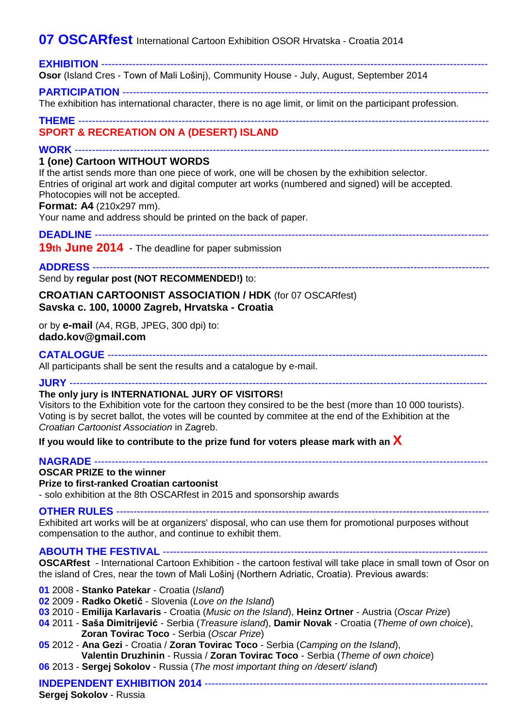# **07 OSCARfest** International Cartoon Exhibition OSOR Hrvatska - Croatia 2014

**EXHIBITION** ----------------------------------------------------------------------------------------------------------------

**Osor** (Island Cres - Town of Mali Lošinj), Community House - July, August, September 2014

**PARTICIPATION** ----------------------------------------------------------------------------------------------------------

The exhibition has international character, there is no age limit, or limit on the participant profession.

#### **THEME** ----------------------------------------------------------------------------------------------------------------------- **SPORT & RECREATION ON A (DESERT) ISLAND**

#### **WORK** ------------------------------------------------------------------------------------------------------------------------

## **1 (one) Cartoon WITHOUT WORDS**

If the artist sends more than one piece of work, one will be chosen by the exhibition selector. Entries of original art work and digital computer art works (numbered and signed) will be accepted. Photocopies will not be accepted.

#### **Format: A4** (210x297 mm).

Your name and address should be printed on the back of paper.

**DEADLINE** ------------------------------------------------------------------------------------------------------------------

## **19th June 2014** - The deadline for paper submission

**ADDRESS** -------------------------------------------------------------------------------------------------------------------

#### Send by **regular post (NOT RECOMMENDED!)** to:

#### **CROATIAN CARTOONIST ASSOCIATION / HDK** (for 07 OSCARfest) **Savska c. 100, 10000 Zagreb, Hrvatska - Croatia**

or by **e-mail** (A4, RGB, JPEG, 300 dpi) to: **[dado.kov@gmail.com](mailto:dado.kov@gmail.com)**

## **CATALOGUE** --------------------------------------------------------------------------------------------------------------

All participants shall be sent the results and a catalogue by e-mail.

# **JURY** -------------------------------------------------------------------------------------------------------------------------

## **The only jury is INTERNATIONAL JURY OF VISITORS!**

Visitors to the Exhibition vote for the cartoon they consired to be the best (more than 10 000 tourists). Voting is by secret ballot, the votes will be counted by commitee at the end of the Exhibition at the *Croatian Cartoonist Association* in Zagreb.

**If you would like to contribute to the prize fund for voters please mark with an X**

## **NAGRADE** ---------------------

## **OSCAR PRIZE to the winner**

**Prize to first-ranked Croatian cartoonist**

- solo exhibition at the 8th OSCARfest in 2015 and sponsorship awards

## **OTHER RULES** ------------------------------------------------------------------------------------------------------------

Exhibited art works will be at organizers' disposal, who can use them for promotional purposes without compensation to the author, and continue to exhibit them.

## **ABOUTH THE FESTIVAL** ----------------------------------------------------------------------------------------------

**OSCARfest** - International Cartoon Exhibition - the cartoon festival will take place in small town of Osor on the island of Cres, near the town of Mali Lošinj (Northern Adriatic, Croatia). Previous awards:

**01** 2008 - **Stanko Patekar** - Croatia (*Island*)

- **02** 2009 **Radko Oketič** Slovenia (*Love on the Island*)
- **03** 2010 **Emilija Karlavaris** Croatia (*Music on the Island*), **Heinz Ortner** Austria (*Oscar Prize*)
- **04** 2011 **Saša Dimitrijević** Serbia (*Treasure island*), **Damir Novak** Croatia (*Theme of own choice*),  **Zoran Tovirac Toco** - Serbia (*Oscar Prize*)
- **05** 2012 **Ana Gezi** Croatia / **Zoran Tovirac Toco** Serbia (*Camping on the Island*),  **Valentin Druzhinin** - Russia / **Zoran Tovirac Toco** - Serbia (*Theme of own choice*)
- **06** 2013 **Sergej Sokolov** Russia (*The most important thing on /desert/ island*)

## **INDEPENDENT EXHIBITION 2014** ----------------------------------------------------------------------------------